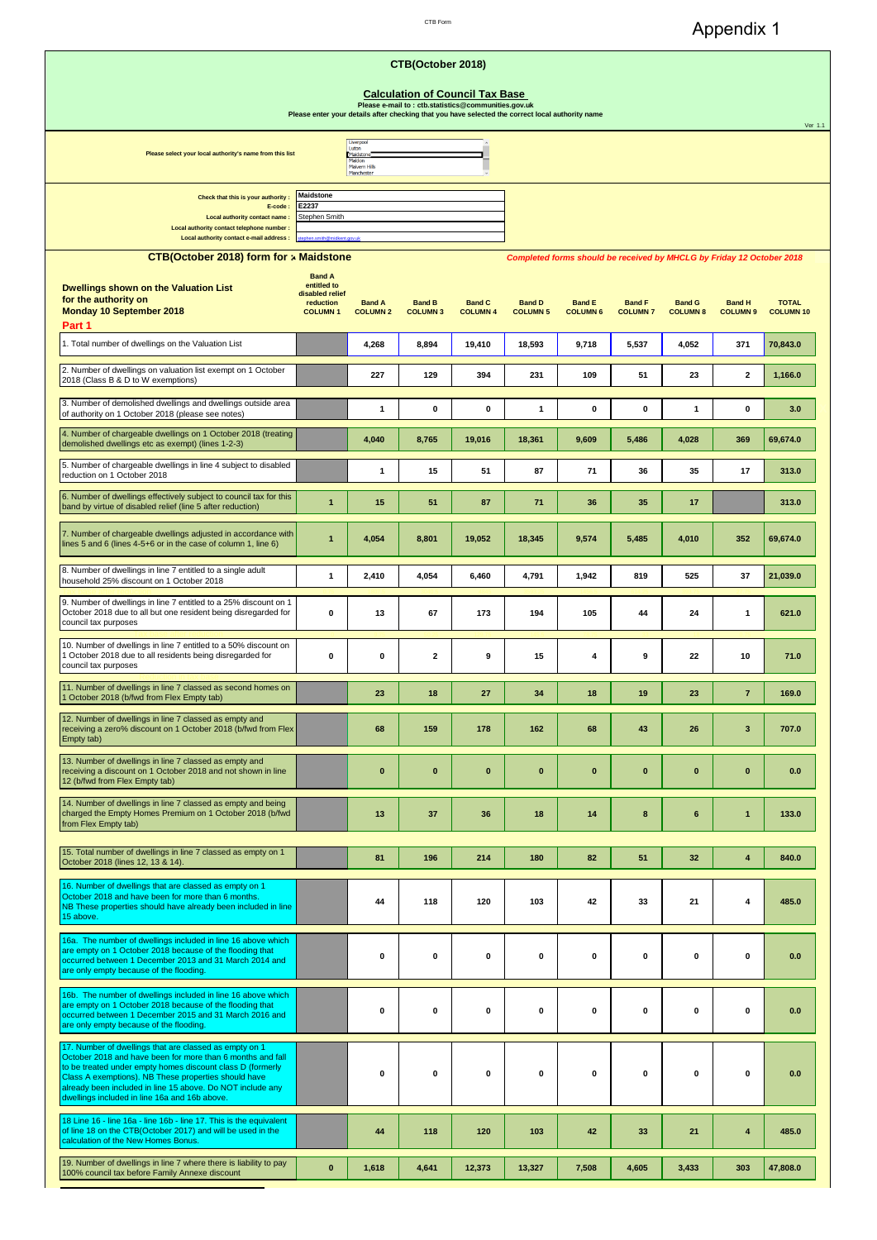Appendix 1

| CTB Form |  |
|----------|--|
|          |  |

|                                                                                                                                                                                                                                                                                                                                                           | Please enter your details after checking that you have selected the correct local authority name |                                                                          | CTB(October 2018)<br><b>Calculation of Council Tax Base</b><br>Please e-mail to : ctb.statistics@communities.gov.uk |                                  |                                  |                                                                                                           |                                  |                                  |                                  | Ver 1.1                          |
|-----------------------------------------------------------------------------------------------------------------------------------------------------------------------------------------------------------------------------------------------------------------------------------------------------------------------------------------------------------|--------------------------------------------------------------------------------------------------|--------------------------------------------------------------------------|---------------------------------------------------------------------------------------------------------------------|----------------------------------|----------------------------------|-----------------------------------------------------------------------------------------------------------|----------------------------------|----------------------------------|----------------------------------|----------------------------------|
| Please select your local authority's name from this list                                                                                                                                                                                                                                                                                                  |                                                                                                  | Liverpool<br>Luton<br>Maidstone<br>Maldon<br>Malvern Hills<br>Manchester |                                                                                                                     |                                  |                                  |                                                                                                           |                                  |                                  |                                  |                                  |
| Check that this is your authority<br>E-code:<br>Local authority contact name:<br>Local authority contact telephone number :<br>Local authority contact e-mail address :                                                                                                                                                                                   | <b>Maidstone</b><br>E2237<br>Stephen Smith<br>phen.smith@midkent.gov.uk                          |                                                                          |                                                                                                                     |                                  |                                  |                                                                                                           |                                  |                                  |                                  |                                  |
| CTB(October 2018) form for » Maidstone<br><b>Dwellings shown on the Valuation List</b><br>for the authority on<br>Monday 10 September 2018<br>Part 1                                                                                                                                                                                                      | <b>Band A</b><br>entitled to<br>disabled relief<br>reduction<br><b>COLUMN1</b>                   | <b>Band A</b><br><b>COLUMN 2</b>                                         | <b>Band B</b><br><b>COLUMN 3</b>                                                                                    | <b>Band C</b><br><b>COLUMN 4</b> | <b>Band D</b><br><b>COLUMN 5</b> | Completed forms should be received by MHCLG by Friday 12 October 2018<br><b>Band E</b><br><b>COLUMN 6</b> | <b>Band F</b><br><b>COLUMN 7</b> | <b>Band G</b><br><b>COLUMN 8</b> | <b>Band H</b><br><b>COLUMN 9</b> | <b>TOTAL</b><br><b>COLUMN 10</b> |
| 1. Total number of dwellings on the Valuation List                                                                                                                                                                                                                                                                                                        |                                                                                                  | 4,268                                                                    | 8,894                                                                                                               | 19,410                           | 18,593                           | 9,718                                                                                                     | 5,537                            | 4,052                            | 371                              | 70,843.0                         |
| 2. Number of dwellings on valuation list exempt on 1 October<br>2018 (Class B & D to W exemptions)                                                                                                                                                                                                                                                        |                                                                                                  | 227                                                                      | 129                                                                                                                 | 394                              | 231                              | 109                                                                                                       | 51                               | 23                               | $\mathbf{2}$                     | 1,166.0                          |
| 3. Number of demolished dwellings and dwellings outside area<br>of authority on 1 October 2018 (please see notes)                                                                                                                                                                                                                                         |                                                                                                  | 1                                                                        | $\mathbf 0$                                                                                                         | 0                                | 1                                | 0                                                                                                         | $\pmb{0}$                        | 1                                | $\mathbf 0$                      | 3.0                              |
| 4. Number of chargeable dwellings on 1 October 2018 (treating<br>demolished dwellings etc as exempt) (lines 1-2-3)                                                                                                                                                                                                                                        |                                                                                                  | 4,040                                                                    | 8,765                                                                                                               | 19,016                           | 18,361                           | 9,609                                                                                                     | 5,486                            | 4,028                            | 369                              | 69,674.0                         |
| 5. Number of chargeable dwellings in line 4 subject to disabled<br>reduction on 1 October 2018                                                                                                                                                                                                                                                            |                                                                                                  | 1                                                                        | 15                                                                                                                  | 51                               | 87                               | 71                                                                                                        | 36                               | 35                               | 17                               | 313.0                            |
| 6. Number of dwellings effectively subject to council tax for this<br>band by virtue of disabled relief (line 5 after reduction)                                                                                                                                                                                                                          | $\overline{1}$                                                                                   | 15                                                                       | 51                                                                                                                  | 87                               | 71                               | 36                                                                                                        | 35                               | 17                               |                                  | 313.0                            |
| 7. Number of chargeable dwellings adjusted in accordance with<br>lines 5 and 6 (lines 4-5+6 or in the case of column 1, line 6)                                                                                                                                                                                                                           | $\mathbf{1}$                                                                                     | 4,054                                                                    | 8,801                                                                                                               | 19,052                           | 18,345                           | 9,574                                                                                                     | 5,485                            | 4,010                            | 352                              | 69,674.0                         |
| 8. Number of dwellings in line 7 entitled to a single adult<br>household 25% discount on 1 October 2018                                                                                                                                                                                                                                                   | $\mathbf{1}$                                                                                     | 2,410                                                                    | 4,054                                                                                                               | 6,460                            | 4,791                            | 1,942                                                                                                     | 819                              | 525                              | 37                               | 21,039.0                         |
| 9. Number of dwellings in line 7 entitled to a 25% discount on 1<br>October 2018 due to all but one resident being disregarded for<br>council tax purposes                                                                                                                                                                                                | 0                                                                                                | 13                                                                       | 67                                                                                                                  | 173                              | 194                              | 105                                                                                                       | 44                               | 24                               | $\mathbf{1}$                     | 621.0                            |
| 10. Number of dwellings in line 7 entitled to a 50% discount on<br>1 October 2018 due to all residents being disregarded for<br>council tax purposes                                                                                                                                                                                                      | 0                                                                                                | 0                                                                        | $\mathbf{2}$                                                                                                        | 9                                | 15                               | 4                                                                                                         | 9                                | 22                               | 10                               | 71.0                             |
| 11. Number of dwellings in line 7 classed as second homes on<br>1 October 2018 (b/fwd from Flex Empty tab)                                                                                                                                                                                                                                                |                                                                                                  | 23                                                                       | 18                                                                                                                  | 27                               | 34                               | 18                                                                                                        | 19                               | 23                               | $\overline{7}$                   | 169.0                            |
| 12. Number of dwellings in line 7 classed as empty and<br>receiving a zero% discount on 1 October 2018 (b/fwd from Flex<br>Empty tab)                                                                                                                                                                                                                     |                                                                                                  | 68                                                                       | 159                                                                                                                 | 178                              | 162                              | 68                                                                                                        | 43                               | 26                               | 3                                | 707.0                            |
| 13. Number of dwellings in line 7 classed as empty and<br>receiving a discount on 1 October 2018 and not shown in line<br>12 (b/fwd from Flex Empty tab)                                                                                                                                                                                                  |                                                                                                  | $\bf{0}$                                                                 | $\bf{0}$                                                                                                            | $\bf{0}$                         | $\pmb{0}$                        | $\pmb{0}$                                                                                                 | $\bf{0}$                         | $\bf{0}$                         | $\bf{0}$                         | 0.0                              |
| 14. Number of dwellings in line 7 classed as empty and being<br>charged the Empty Homes Premium on 1 October 2018 (b/fwd<br>from Flex Empty tab)                                                                                                                                                                                                          |                                                                                                  | 13                                                                       | 37                                                                                                                  | 36                               | 18                               | 14                                                                                                        | 8                                | 6                                | $\mathbf{1}$                     | 133.0                            |
| 15. Total number of dwellings in line 7 classed as empty on 1<br>October 2018 (lines 12, 13 & 14).                                                                                                                                                                                                                                                        |                                                                                                  | 81                                                                       | 196                                                                                                                 | 214                              | 180                              | 82                                                                                                        | 51                               | 32                               | $\overline{\mathbf{4}}$          | 840.0                            |
| 16. Number of dwellings that are classed as empty on 1<br>October 2018 and have been for more than 6 months.<br>NB These properties should have already been included in line<br>15 above.                                                                                                                                                                |                                                                                                  | 44                                                                       | 118                                                                                                                 | 120                              | 103                              | 42                                                                                                        | 33                               | 21                               | $\overline{4}$                   | 485.0                            |
| 16a. The number of dwellings included in line 16 above which<br>are empty on 1 October 2018 because of the flooding that<br>occurred between 1 December 2013 and 31 March 2014 and<br>are only empty because of the flooding.                                                                                                                             |                                                                                                  | 0                                                                        | 0                                                                                                                   | 0                                | 0                                | 0                                                                                                         | $\pmb{0}$                        | 0                                | 0                                | 0.0                              |
| 16b. The number of dwellings included in line 16 above which<br>are empty on 1 October 2018 because of the flooding that<br>occurred between 1 December 2015 and 31 March 2016 and<br>are only empty because of the flooding.                                                                                                                             |                                                                                                  | 0                                                                        | 0                                                                                                                   | 0                                | 0                                | 0                                                                                                         | $\mathbf 0$                      | 0                                | $\mathbf 0$                      | 0.0                              |
| 17. Number of dwellings that are classed as empty on 1<br>October 2018 and have been for more than 6 months and fall<br>to be treated under empty homes discount class D (formerly<br>Class A exemptions). NB These properties should have<br>already been included in line 15 above. Do NOT include any<br>dwellings included in line 16a and 16b above. |                                                                                                  | 0                                                                        | 0                                                                                                                   | 0                                | 0                                | 0                                                                                                         | 0                                | 0                                | 0                                | 0.0                              |
| 18 Line 16 - line 16a - line 16b - line 17. This is the equivalent<br>of line 18 on the CTB(October 2017) and will be used in the<br>calculation of the New Homes Bonus.                                                                                                                                                                                  |                                                                                                  | 44                                                                       | 118                                                                                                                 | 120                              | 103                              | 42                                                                                                        | 33                               | 21                               | 4                                | 485.0                            |
| 19. Number of dwellings in line 7 where there is liability to pay<br>100% council tax before Family Annexe discount                                                                                                                                                                                                                                       | $\bf{0}$                                                                                         | 1,618                                                                    | 4,641                                                                                                               | 12,373                           | 13,327                           | 7,508                                                                                                     | 4,605                            | 3,433                            | 303                              | 47,808.0                         |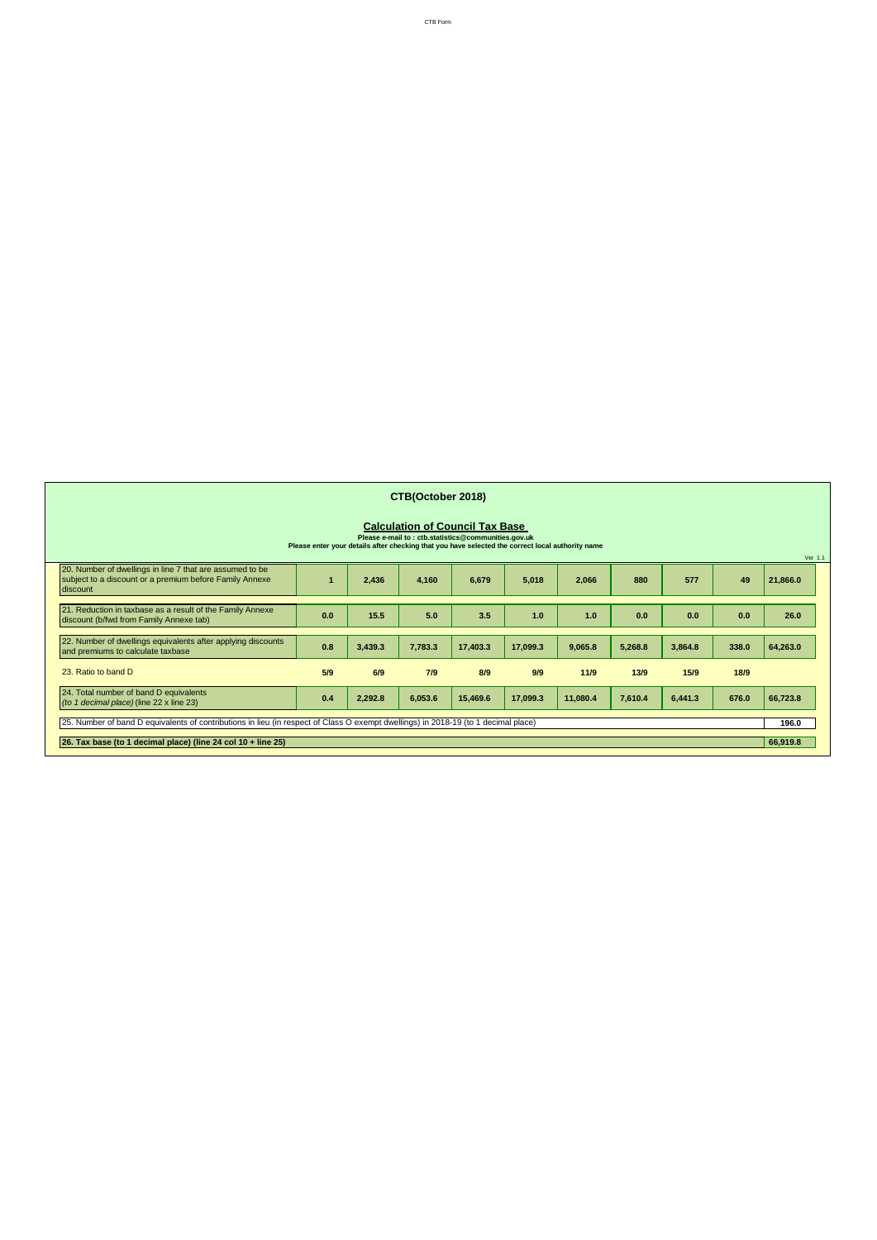|                                                                                                                                     |     |         | CTB(October 2018) |                                                                                                |                                                                                                  |          |         |         |       |          |
|-------------------------------------------------------------------------------------------------------------------------------------|-----|---------|-------------------|------------------------------------------------------------------------------------------------|--------------------------------------------------------------------------------------------------|----------|---------|---------|-------|----------|
|                                                                                                                                     |     |         |                   | <b>Calculation of Council Tax Base</b><br>Please e-mail to : ctb.statistics@communities.gov.uk |                                                                                                  |          |         |         |       |          |
|                                                                                                                                     |     |         |                   |                                                                                                | Please enter your details after checking that you have selected the correct local authority name |          |         |         |       | Ver 1.1  |
| 20. Number of dwellings in line 7 that are assumed to be<br>subject to a discount or a premium before Family Annexe<br>discount     |     | 2,436   | 4,160             | 6,679                                                                                          | 5,018                                                                                            | 2,066    | 880     | 577     | 49    | 21,866.0 |
| 21. Reduction in taxbase as a result of the Family Annexe<br>discount (b/fwd from Family Annexe tab)                                | 0.0 | 15.5    | 5.0               | 3.5                                                                                            | 1.0                                                                                              | 1.0      | 0.0     | 0.0     | 0.0   | 26.0     |
| 22. Number of dwellings equivalents after applying discounts<br>and premiums to calculate taxbase                                   | 0.8 | 3,439.3 | 7,783.3           | 17,403.3                                                                                       | 17,099.3                                                                                         | 9,065.8  | 5,268.8 | 3,864.8 | 338.0 | 64,263.0 |
| 23. Ratio to band D                                                                                                                 | 5/9 | 6/9     | 7/9               | 8/9                                                                                            | 9/9                                                                                              | 11/9     | 13/9    | 15/9    | 18/9  |          |
| 24. Total number of band D equivalents<br>(to 1 decimal place) (line 22 x line 23)                                                  | 0.4 | 2,292.8 | 6,053.6           | 15,469.6                                                                                       | 17,099.3                                                                                         | 11,080.4 | 7,610.4 | 6,441.3 | 676.0 | 66,723.8 |
| (25. Number of band D equivalents of contributions in lieu (in respect of Class O exempt dwellings) in 2018-19 (to 1 decimal place) |     |         |                   |                                                                                                |                                                                                                  |          |         |         | 196.0 |          |
| 26. Tax base (to 1 decimal place) (line 24 col 10 + line 25)                                                                        |     |         |                   |                                                                                                |                                                                                                  |          |         |         |       | 66,919.8 |